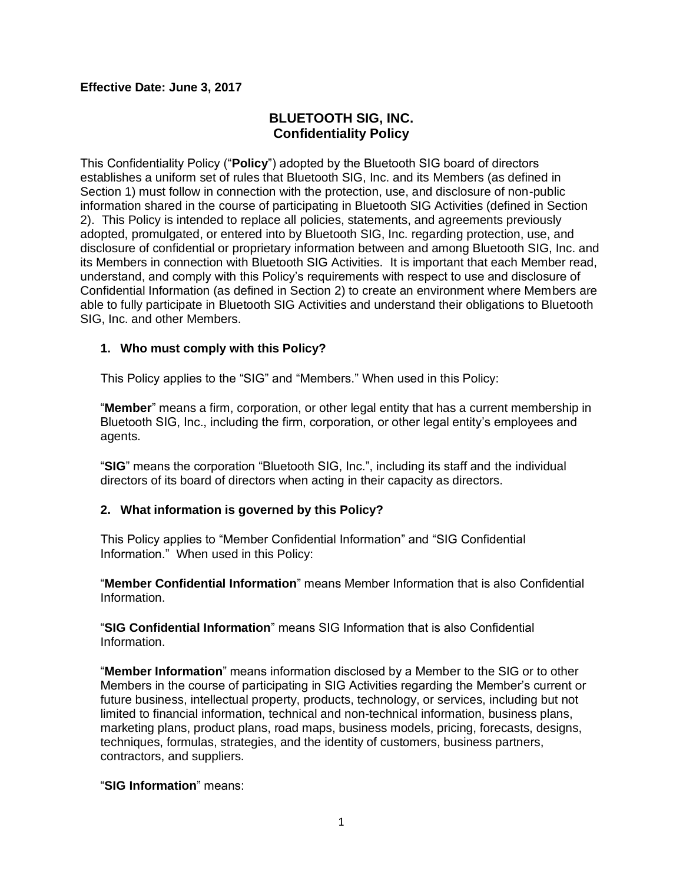#### **Effective Date: June 3, 2017**

## **BLUETOOTH SIG, INC. Confidentiality Policy**

This Confidentiality Policy ("**Policy**") adopted by the Bluetooth SIG board of directors establishes a uniform set of rules that Bluetooth SIG, Inc. and its Members (as defined in Section 1) must follow in connection with the protection, use, and disclosure of non-public information shared in the course of participating in Bluetooth SIG Activities (defined in Section 2). This Policy is intended to replace all policies, statements, and agreements previously adopted, promulgated, or entered into by Bluetooth SIG, Inc. regarding protection, use, and disclosure of confidential or proprietary information between and among Bluetooth SIG, Inc. and its Members in connection with Bluetooth SIG Activities. It is important that each Member read, understand, and comply with this Policy's requirements with respect to use and disclosure of Confidential Information (as defined in Section 2) to create an environment where Members are able to fully participate in Bluetooth SIG Activities and understand their obligations to Bluetooth SIG, Inc. and other Members.

#### **1. Who must comply with this Policy?**

This Policy applies to the "SIG" and "Members." When used in this Policy:

"**Member**" means a firm, corporation, or other legal entity that has a current membership in Bluetooth SIG, Inc., including the firm, corporation, or other legal entity's employees and agents.

"**SIG**" means the corporation "Bluetooth SIG, Inc.", including its staff and the individual directors of its board of directors when acting in their capacity as directors.

## **2. What information is governed by this Policy?**

This Policy applies to "Member Confidential Information" and "SIG Confidential Information." When used in this Policy:

"**Member Confidential Information**" means Member Information that is also Confidential Information.

"**SIG Confidential Information**" means SIG Information that is also Confidential Information.

"**Member Information**" means information disclosed by a Member to the SIG or to other Members in the course of participating in SIG Activities regarding the Member's current or future business, intellectual property, products, technology, or services, including but not limited to financial information, technical and non-technical information, business plans, marketing plans, product plans, road maps, business models, pricing, forecasts, designs, techniques, formulas, strategies, and the identity of customers, business partners, contractors, and suppliers.

"**SIG Information**" means: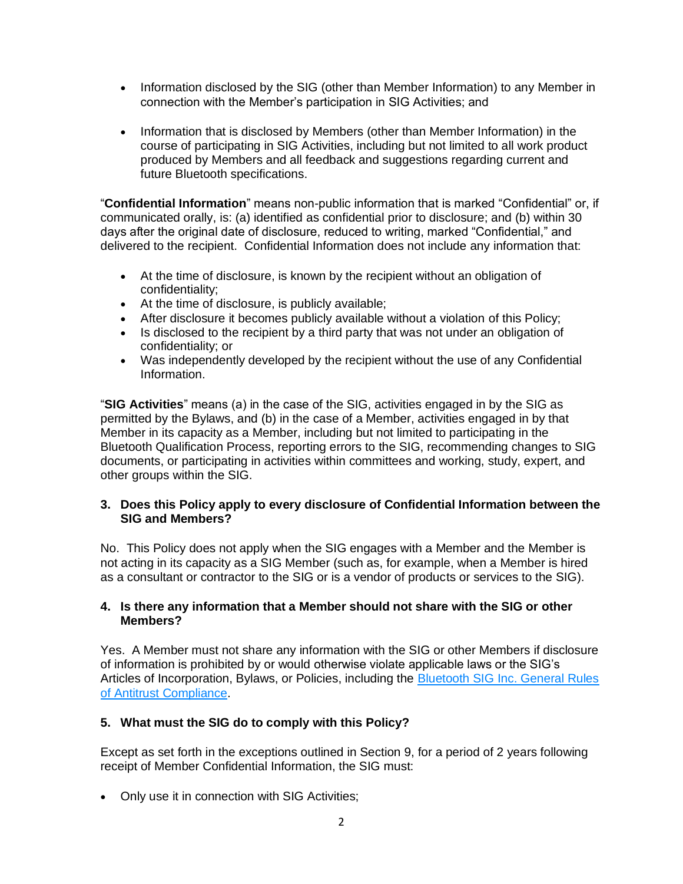- Information disclosed by the SIG (other than Member Information) to any Member in connection with the Member's participation in SIG Activities; and
- Information that is disclosed by Members (other than Member Information) in the course of participating in SIG Activities, including but not limited to all work product produced by Members and all feedback and suggestions regarding current and future Bluetooth specifications.

"**Confidential Information**" means non-public information that is marked "Confidential" or, if communicated orally, is: (a) identified as confidential prior to disclosure; and (b) within 30 days after the original date of disclosure, reduced to writing, marked "Confidential," and delivered to the recipient. Confidential Information does not include any information that:

- At the time of disclosure, is known by the recipient without an obligation of confidentiality;
- At the time of disclosure, is publicly available;
- After disclosure it becomes publicly available without a violation of this Policy;
- Is disclosed to the recipient by a third party that was not under an obligation of confidentiality; or
- Was independently developed by the recipient without the use of any Confidential Information.

"**SIG Activities**" means (a) in the case of the SIG, activities engaged in by the SIG as permitted by the Bylaws, and (b) in the case of a Member, activities engaged in by that Member in its capacity as a Member, including but not limited to participating in the Bluetooth Qualification Process, reporting errors to the SIG, recommending changes to SIG documents, or participating in activities within committees and working, study, expert, and other groups within the SIG.

## **3. Does this Policy apply to every disclosure of Confidential Information between the SIG and Members?**

No. This Policy does not apply when the SIG engages with a Member and the Member is not acting in its capacity as a SIG Member (such as, for example, when a Member is hired as a consultant or contractor to the SIG or is a vendor of products or services to the SIG).

#### **4. Is there any information that a Member should not share with the SIG or other Members?**

Yes. A Member must not share any information with the SIG or other Members if disclosure of information is prohibited by or would otherwise violate applicable laws or the SIG's Articles of Incorporation, Bylaws, or Policies, including the Bluetooth SIG Inc. General Rules [of Antitrust Compliance.](https://www.bluetooth.org/DocMan/handlers/DownloadDoc.ashx?doc_id=41773)

# **5. What must the SIG do to comply with this Policy?**

Except as set forth in the exceptions outlined in Section 9, for a period of 2 years following receipt of Member Confidential Information, the SIG must:

• Only use it in connection with SIG Activities;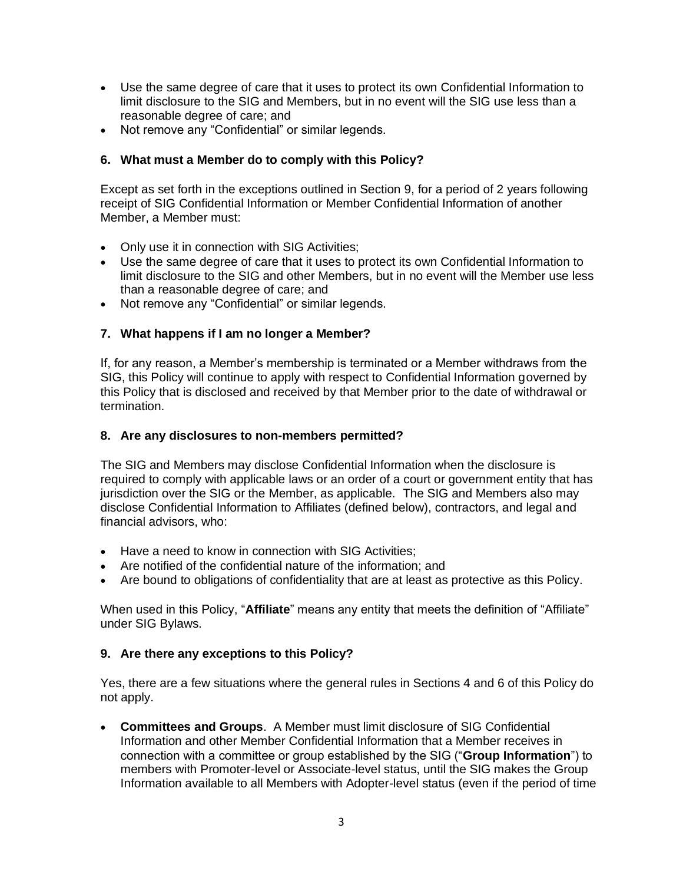- Use the same degree of care that it uses to protect its own Confidential Information to limit disclosure to the SIG and Members, but in no event will the SIG use less than a reasonable degree of care; and
- Not remove any "Confidential" or similar legends.

## **6. What must a Member do to comply with this Policy?**

Except as set forth in the exceptions outlined in Section 9, for a period of 2 years following receipt of SIG Confidential Information or Member Confidential Information of another Member, a Member must:

- Only use it in connection with SIG Activities;
- Use the same degree of care that it uses to protect its own Confidential Information to limit disclosure to the SIG and other Members, but in no event will the Member use less than a reasonable degree of care; and
- Not remove any "Confidential" or similar legends.

## **7. What happens if I am no longer a Member?**

If, for any reason, a Member's membership is terminated or a Member withdraws from the SIG, this Policy will continue to apply with respect to Confidential Information governed by this Policy that is disclosed and received by that Member prior to the date of withdrawal or termination.

## **8. Are any disclosures to non-members permitted?**

The SIG and Members may disclose Confidential Information when the disclosure is required to comply with applicable laws or an order of a court or government entity that has jurisdiction over the SIG or the Member, as applicable. The SIG and Members also may disclose Confidential Information to Affiliates (defined below), contractors, and legal and financial advisors, who:

- Have a need to know in connection with SIG Activities:
- Are notified of the confidential nature of the information; and
- Are bound to obligations of confidentiality that are at least as protective as this Policy.

When used in this Policy, "**Affiliate**" means any entity that meets the definition of "Affiliate" under SIG Bylaws.

## **9. Are there any exceptions to this Policy?**

Yes, there are a few situations where the general rules in Sections 4 and 6 of this Policy do not apply.

• **Committees and Groups**. A Member must limit disclosure of SIG Confidential Information and other Member Confidential Information that a Member receives in connection with a committee or group established by the SIG ("**Group Information**") to members with Promoter-level or Associate-level status, until the SIG makes the Group Information available to all Members with Adopter-level status (even if the period of time